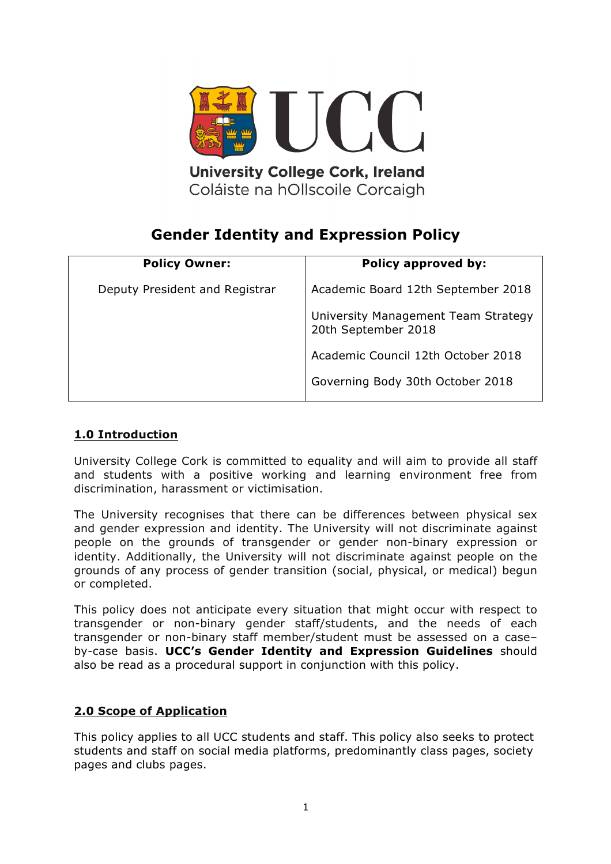

Coláiste na hOllscoile Corcaigh

# **Gender Identity and Expression Policy**

| <b>Policy Owner:</b>           | <b>Policy approved by:</b>                                 |
|--------------------------------|------------------------------------------------------------|
| Deputy President and Registrar | Academic Board 12th September 2018                         |
|                                | University Management Team Strategy<br>20th September 2018 |
|                                | Academic Council 12th October 2018                         |
|                                | Governing Body 30th October 2018                           |

## **1.0 Introduction**

University College Cork is committed to equality and will aim to provide all staff and students with a positive working and learning environment free from discrimination, harassment or victimisation.

The University recognises that there can be differences between physical sex and gender expression and identity. The University will not discriminate against people on the grounds of transgender or gender non-binary expression or identity. Additionally, the University will not discriminate against people on the grounds of any process of gender transition (social, physical, or medical) begun or completed.

This policy does not anticipate every situation that might occur with respect to transgender or non-binary gender staff/students, and the needs of each transgender or non-binary staff member/student must be assessed on a case– by-case basis. **UCC's Gender Identity and Expression Guidelines** should also be read as a procedural support in conjunction with this policy.

## **2.0 Scope of Application**

This policy applies to all UCC students and staff. This policy also seeks to protect students and staff on social media platforms, predominantly class pages, society pages and clubs pages.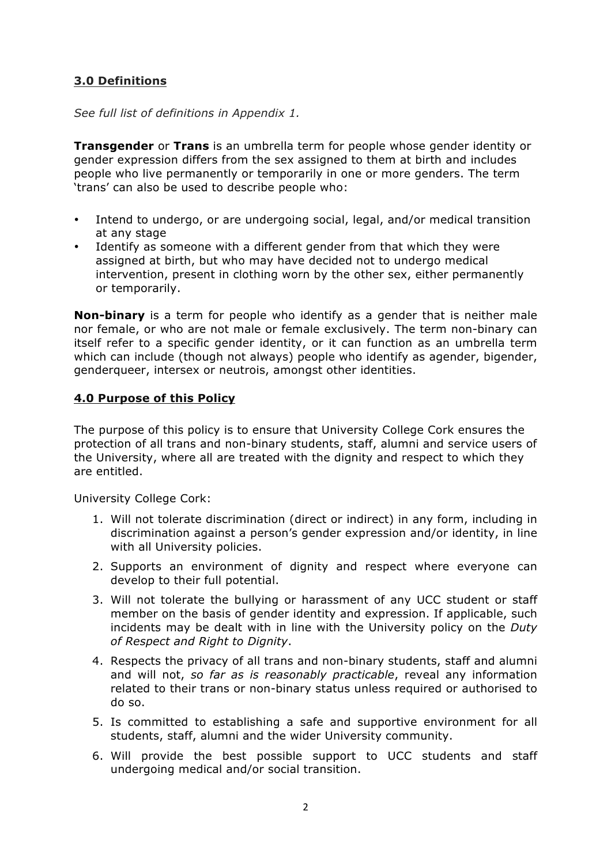## **3.0 Definitions**

*See full list of definitions in Appendix 1.*

**Transgender** or **Trans** is an umbrella term for people whose gender identity or gender expression differs from the sex assigned to them at birth and includes people who live permanently or temporarily in one or more genders. The term 'trans' can also be used to describe people who:

- Intend to undergo, or are undergoing social, legal, and/or medical transition at any stage
- Identify as someone with a different gender from that which they were assigned at birth, but who may have decided not to undergo medical intervention, present in clothing worn by the other sex, either permanently or temporarily.

**Non-binary** is a term for people who identify as a gender that is neither male nor female, or who are not male or female exclusively. The term non-binary can itself refer to a specific gender identity, or it can function as an umbrella term which can include (though not always) people who identify as agender, bigender, genderqueer, intersex or neutrois, amongst other identities.

#### **4.0 Purpose of this Policy**

The purpose of this policy is to ensure that University College Cork ensures the protection of all trans and non-binary students, staff, alumni and service users of the University, where all are treated with the dignity and respect to which they are entitled.

University College Cork:

- 1. Will not tolerate discrimination (direct or indirect) in any form, including in discrimination against a person's gender expression and/or identity, in line with all University policies.
- 2. Supports an environment of dignity and respect where everyone can develop to their full potential.
- 3. Will not tolerate the bullying or harassment of any UCC student or staff member on the basis of gender identity and expression. If applicable, such incidents may be dealt with in line with the University policy on the *Duty of Respect and Right to Dignity*.
- 4. Respects the privacy of all trans and non-binary students, staff and alumni and will not, *so far as is reasonably practicable*, reveal any information related to their trans or non-binary status unless required or authorised to do so.
- 5. Is committed to establishing a safe and supportive environment for all students, staff, alumni and the wider University community.
- 6. Will provide the best possible support to UCC students and staff undergoing medical and/or social transition.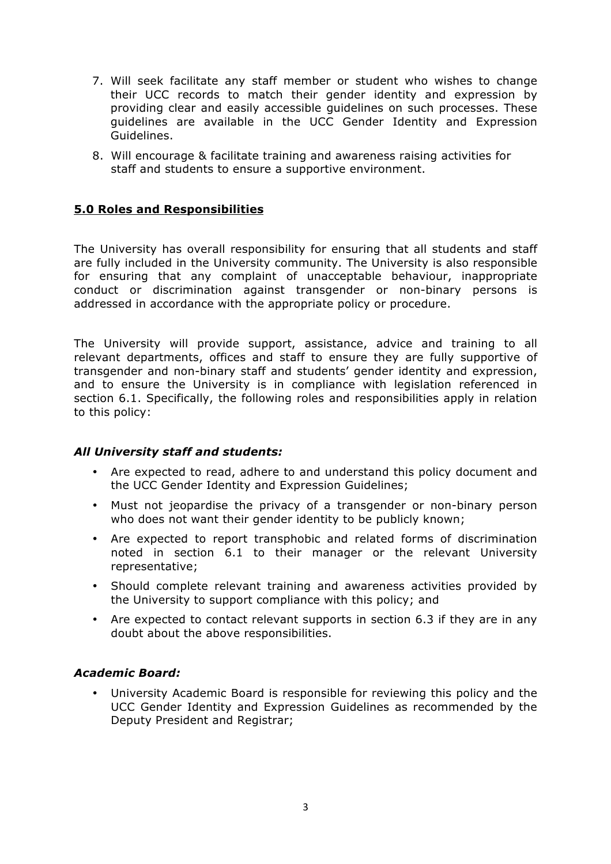- 7. Will seek facilitate any staff member or student who wishes to change their UCC records to match their gender identity and expression by providing clear and easily accessible guidelines on such processes. These guidelines are available in the UCC Gender Identity and Expression Guidelines.
- 8. Will encourage & facilitate training and awareness raising activities for staff and students to ensure a supportive environment.

#### **5.0 Roles and Responsibilities**

The University has overall responsibility for ensuring that all students and staff are fully included in the University community. The University is also responsible for ensuring that any complaint of unacceptable behaviour, inappropriate conduct or discrimination against transgender or non-binary persons is addressed in accordance with the appropriate policy or procedure.

The University will provide support, assistance, advice and training to all relevant departments, offices and staff to ensure they are fully supportive of transgender and non-binary staff and students' gender identity and expression, and to ensure the University is in compliance with legislation referenced in section 6.1. Specifically, the following roles and responsibilities apply in relation to this policy:

#### *All University staff and students:*

- Are expected to read, adhere to and understand this policy document and the UCC Gender Identity and Expression Guidelines;
- Must not jeopardise the privacy of a transgender or non-binary person who does not want their gender identity to be publicly known;
- Are expected to report transphobic and related forms of discrimination noted in section 6.1 to their manager or the relevant University representative;
- Should complete relevant training and awareness activities provided by the University to support compliance with this policy; and
- Are expected to contact relevant supports in section 6.3 if they are in any doubt about the above responsibilities.

#### *Academic Board:*

• University Academic Board is responsible for reviewing this policy and the UCC Gender Identity and Expression Guidelines as recommended by the Deputy President and Registrar;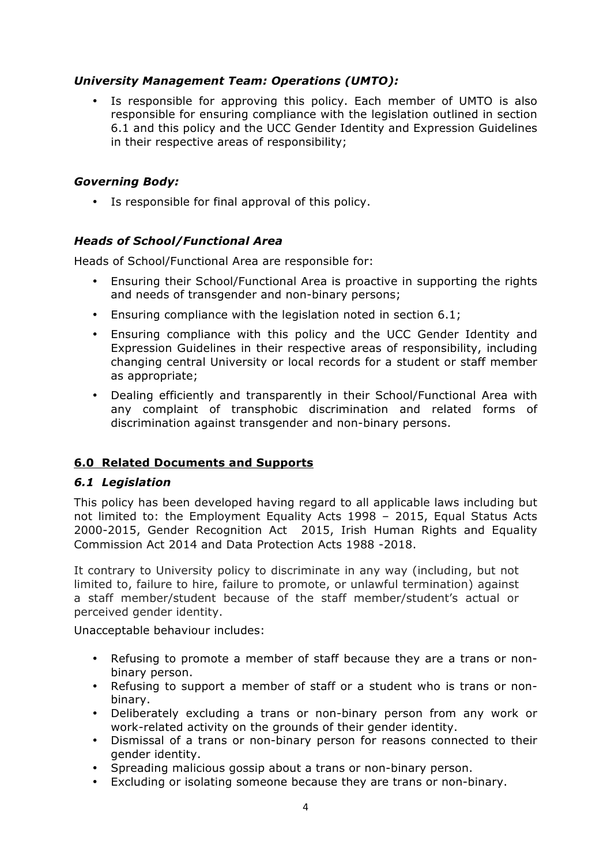#### *University Management Team: Operations (UMTO):*

• Is responsible for approving this policy. Each member of UMTO is also responsible for ensuring compliance with the legislation outlined in section 6.1 and this policy and the UCC Gender Identity and Expression Guidelines in their respective areas of responsibility;

#### *Governing Body:*

• Is responsible for final approval of this policy.

#### *Heads of School/Functional Area*

Heads of School/Functional Area are responsible for:

- Ensuring their School/Functional Area is proactive in supporting the rights and needs of transgender and non-binary persons;
- Ensuring compliance with the legislation noted in section 6.1;
- Ensuring compliance with this policy and the UCC Gender Identity and Expression Guidelines in their respective areas of responsibility, including changing central University or local records for a student or staff member as appropriate;
- Dealing efficiently and transparently in their School/Functional Area with any complaint of transphobic discrimination and related forms of discrimination against transgender and non-binary persons.

## **6.0 Related Documents and Supports**

## *6.1 Legislation*

This policy has been developed having regard to all applicable laws including but not limited to: the Employment Equality Acts 1998 – 2015, Equal Status Acts 2000-2015, Gender Recognition Act 2015, Irish Human Rights and Equality Commission Act 2014 and Data Protection Acts 1988 -2018.

It contrary to University policy to discriminate in any way (including, but not limited to, failure to hire, failure to promote, or unlawful termination) against a staff member/student because of the staff member/student's actual or perceived gender identity.

Unacceptable behaviour includes:

- Refusing to promote a member of staff because they are a trans or nonbinary person.
- Refusing to support a member of staff or a student who is trans or nonbinary.
- Deliberately excluding a trans or non-binary person from any work or work-related activity on the grounds of their gender identity.
- Dismissal of a trans or non-binary person for reasons connected to their gender identity.
- Spreading malicious gossip about a trans or non-binary person.
- Excluding or isolating someone because they are trans or non-binary.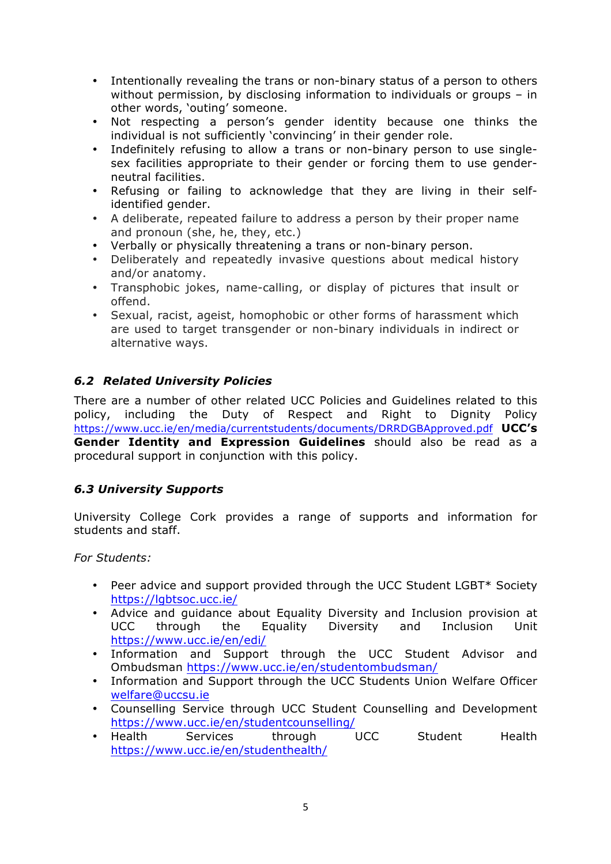- Intentionally revealing the trans or non-binary status of a person to others without permission, by disclosing information to individuals or groups – in other words, 'outing' someone.
- Not respecting a person's gender identity because one thinks the individual is not sufficiently 'convincing' in their gender role.
- Indefinitely refusing to allow a trans or non-binary person to use singlesex facilities appropriate to their gender or forcing them to use genderneutral facilities.
- Refusing or failing to acknowledge that they are living in their selfidentified gender.
- A deliberate, repeated failure to address a person by their proper name and pronoun (she, he, they, etc.)
- Verbally or physically threatening a trans or non-binary person.
- Deliberately and repeatedly invasive questions about medical history and/or anatomy.
- Transphobic jokes, name-calling, or display of pictures that insult or offend.
- Sexual, racist, ageist, homophobic or other forms of harassment which are used to target transgender or non-binary individuals in indirect or alternative ways.

## *6.2 Related University Policies*

There are a number of other related UCC Policies and Guidelines related to this policy, including the Duty of Respect and Right to Dignity Policy https://www.ucc.ie/en/media/currentstudents/documents/DRRDGBApproved.pdf **UCC's Gender Identity and Expression Guidelines** should also be read as a procedural support in conjunction with this policy.

## *6.3 University Supports*

University College Cork provides a range of supports and information for students and staff.

*For Students:*

- Peer advice and support provided through the UCC Student LGBT\* Society https://lgbtsoc.ucc.ie/
- Advice and guidance about Equality Diversity and Inclusion provision at through the Equality Diversity https://www.ucc.ie/en/edi/
- Information and Support through the UCC Student Advisor and Ombudsman https://www.ucc.ie/en/studentombudsman/
- Information and Support through the UCC Students Union Welfare Officer welfare@uccsu.ie
- Counselling Service through UCC Student Counselling and Development https://www.ucc.ie/en/studentcounselling/
- Health Services through UCC Student Health https://www.ucc.ie/en/studenthealth/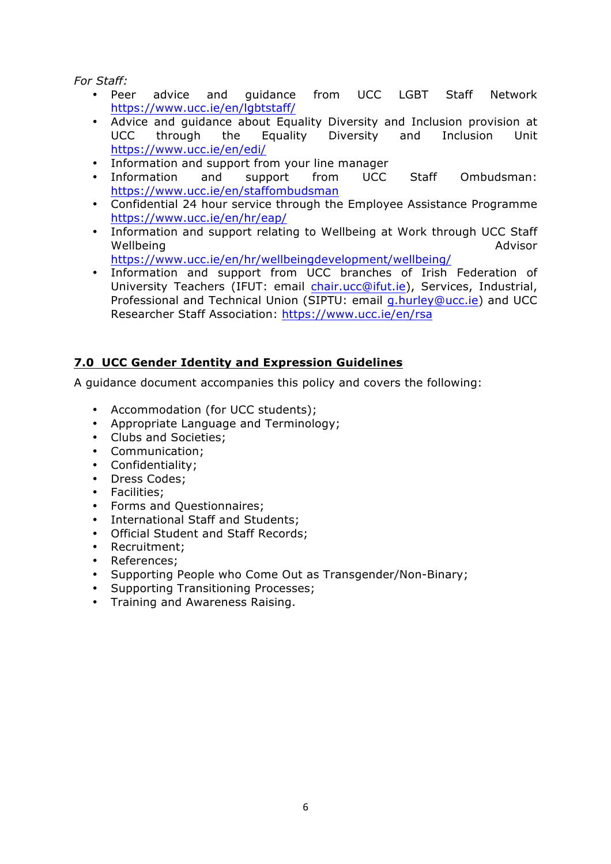*For Staff:*

- Peer advice and guidance from UCC LGBT Staff Network https://www.ucc.ie/en/lgbtstaff/
- Advice and guidance about Equality Diversity and Inclusion provision at UCC through the Equality Diversity and Inclusion Unit https://www.ucc.ie/en/edi/
- Information and support from your line manager
- Information and support from UCC Staff Ombudsman: https://www.ucc.ie/en/staffombudsman
- Confidential 24 hour service through the Employee Assistance Programme https://www.ucc.ie/en/hr/eap/
- Information and support relating to Wellbeing at Work through UCC Staff Wellbeing **Manual Advisor** Advisor
	- https://www.ucc.ie/en/hr/wellbeingdevelopment/wellbeing/
- Information and support from UCC branches of Irish Federation of University Teachers (IFUT: email chair.ucc@ifut.ie), Services, Industrial, Professional and Technical Union (SIPTU: email g.hurley@ucc.ie) and UCC Researcher Staff Association: https://www.ucc.ie/en/rsa

## **7.0 UCC Gender Identity and Expression Guidelines**

A guidance document accompanies this policy and covers the following:

- Accommodation (for UCC students);
- Appropriate Language and Terminology;
- Clubs and Societies;
- Communication;
- Confidentiality;
- Dress Codes:
- Facilities;
- Forms and Questionnaires;
- International Staff and Students;
- Official Student and Staff Records;
- Recruitment;
- References;
- Supporting People who Come Out as Transgender/Non-Binary;
- Supporting Transitioning Processes;
- Training and Awareness Raising.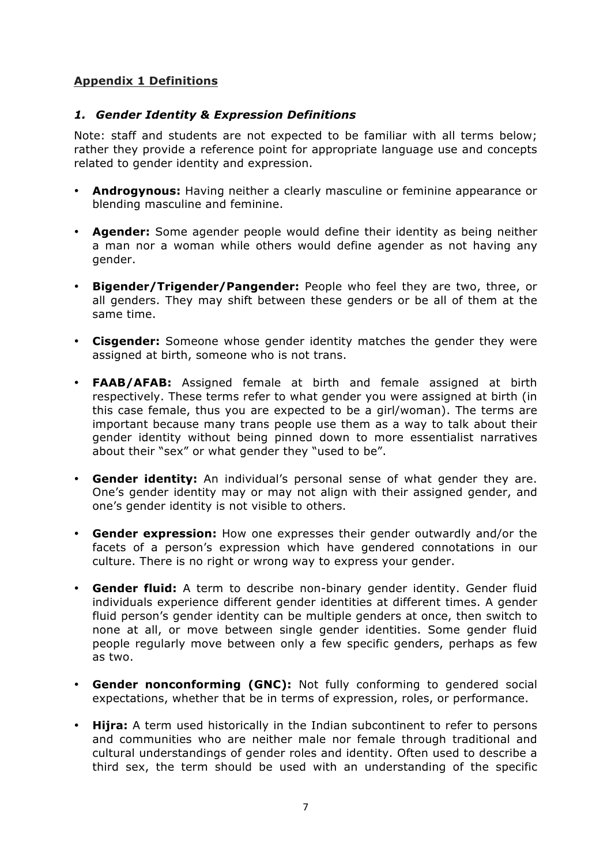## **Appendix 1 Definitions**

#### *1. Gender Identity & Expression Definitions*

Note: staff and students are not expected to be familiar with all terms below; rather they provide a reference point for appropriate language use and concepts related to gender identity and expression.

- **Androgynous:** Having neither a clearly masculine or feminine appearance or blending masculine and feminine.
- **Agender:** Some agender people would define their identity as being neither a man nor a woman while others would define agender as not having any gender.
- **Bigender/Trigender/Pangender:** People who feel they are two, three, or all genders. They may shift between these genders or be all of them at the same time.
- **Cisgender:** Someone whose gender identity matches the gender they were assigned at birth, someone who is not trans.
- **FAAB/AFAB:** Assigned female at birth and female assigned at birth respectively. These terms refer to what gender you were assigned at birth (in this case female, thus you are expected to be a girl/woman). The terms are important because many trans people use them as a way to talk about their gender identity without being pinned down to more essentialist narratives about their "sex" or what gender they "used to be".
- **Gender identity:** An individual's personal sense of what gender they are. One's gender identity may or may not align with their assigned gender, and one's gender identity is not visible to others.
- **Gender expression:** How one expresses their gender outwardly and/or the facets of a person's expression which have gendered connotations in our culture. There is no right or wrong way to express your gender.
- **Gender fluid:** A term to describe non-binary gender identity. Gender fluid individuals experience different gender identities at different times. A gender fluid person's gender identity can be multiple genders at once, then switch to none at all, or move between single gender identities. Some gender fluid people regularly move between only a few specific genders, perhaps as few as two.
- **Gender nonconforming (GNC):** Not fully conforming to gendered social expectations, whether that be in terms of expression, roles, or performance.
- **Hijra:** A term used historically in the Indian subcontinent to refer to persons and communities who are neither male nor female through traditional and cultural understandings of gender roles and identity. Often used to describe a third sex, the term should be used with an understanding of the specific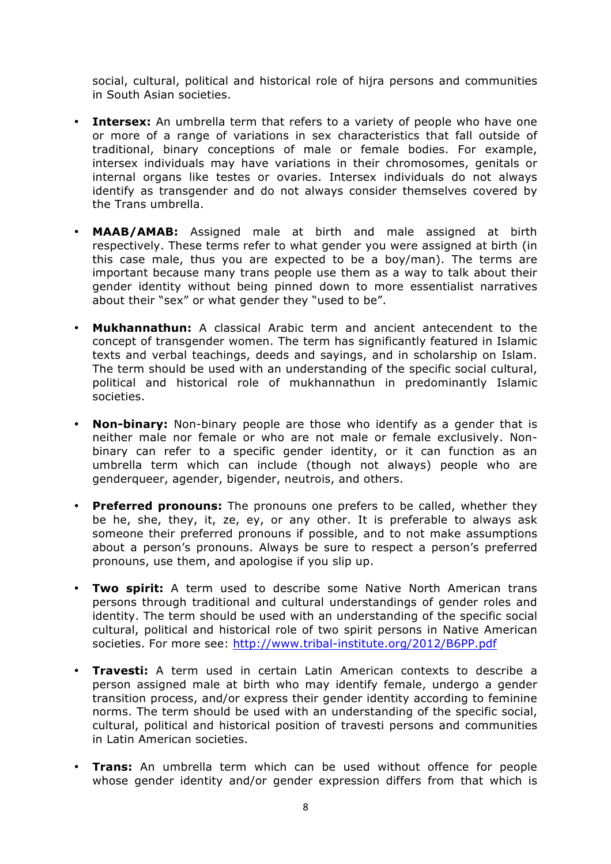social, cultural, political and historical role of hijra persons and communities in South Asian societies.

- **Intersex:** An umbrella term that refers to a variety of people who have one or more of a range of variations in sex characteristics that fall outside of traditional, binary conceptions of male or female bodies. For example, intersex individuals may have variations in their chromosomes, genitals or internal organs like testes or ovaries. Intersex individuals do not always identify as transgender and do not always consider themselves covered by the Trans umbrella.
- **MAAB/AMAB:** Assigned male at birth and male assigned at birth respectively. These terms refer to what gender you were assigned at birth (in this case male, thus you are expected to be a boy/man). The terms are important because many trans people use them as a way to talk about their gender identity without being pinned down to more essentialist narratives about their "sex" or what gender they "used to be".
- **Mukhannathun:** A classical Arabic term and ancient antecendent to the concept of transgender women. The term has significantly featured in Islamic texts and verbal teachings, deeds and sayings, and in scholarship on Islam. The term should be used with an understanding of the specific social cultural, political and historical role of mukhannathun in predominantly Islamic societies.
- **Non-binary:** Non-binary people are those who identify as a gender that is neither male nor female or who are not male or female exclusively. Nonbinary can refer to a specific gender identity, or it can function as an umbrella term which can include (though not always) people who are genderqueer, agender, bigender, neutrois, and others.
- **Preferred pronouns:** The pronouns one prefers to be called, whether they be he, she, they, it, ze, ey, or any other. It is preferable to always ask someone their preferred pronouns if possible, and to not make assumptions about a person's pronouns. Always be sure to respect a person's preferred pronouns, use them, and apologise if you slip up.
- **Two spirit:** A term used to describe some Native North American trans persons through traditional and cultural understandings of gender roles and identity. The term should be used with an understanding of the specific social cultural, political and historical role of two spirit persons in Native American societies. For more see: http://www.tribal-institute.org/2012/B6PP.pdf
- **Travesti:** A term used in certain Latin American contexts to describe a person assigned male at birth who may identify female, undergo a gender transition process, and/or express their gender identity according to feminine norms. The term should be used with an understanding of the specific social, cultural, political and historical position of travesti persons and communities in Latin American societies.
- **Trans:** An umbrella term which can be used without offence for people whose gender identity and/or gender expression differs from that which is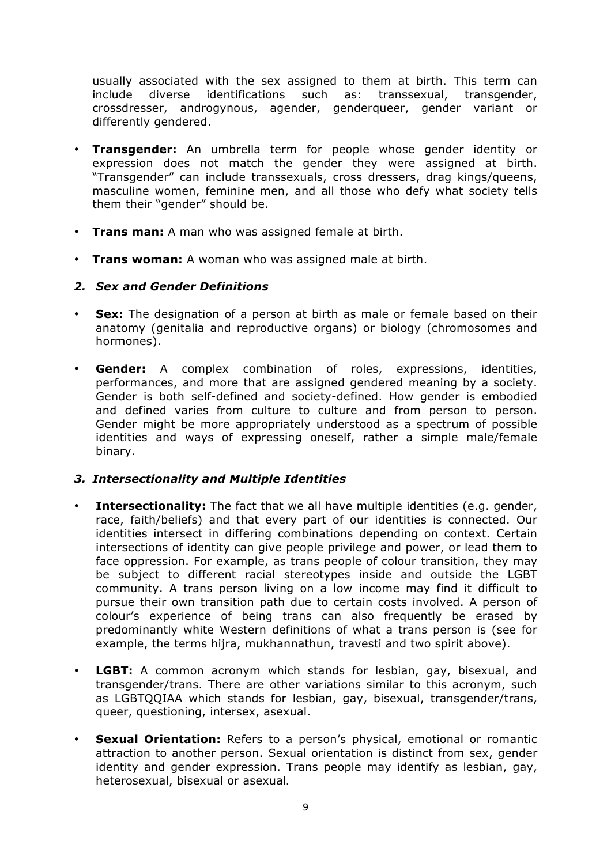usually associated with the sex assigned to them at birth. This term can include diverse identifications such as: transsexual, transgender, crossdresser, androgynous, agender, genderqueer, gender variant or differently gendered.

- **Transgender:** An umbrella term for people whose gender identity or expression does not match the gender they were assigned at birth. "Transgender" can include transsexuals, cross dressers, drag kings/queens, masculine women, feminine men, and all those who defy what society tells them their "gender" should be.
- **Trans man:** A man who was assigned female at birth.
- **Trans woman:** A woman who was assigned male at birth.

#### *2. Sex and Gender Definitions*

- **Sex:** The designation of a person at birth as male or female based on their anatomy (genitalia and reproductive organs) or biology (chromosomes and hormones).
- **Gender:** A complex combination of roles, expressions, identities, performances, and more that are assigned gendered meaning by a society. Gender is both self-defined and society-defined. How gender is embodied and defined varies from culture to culture and from person to person. Gender might be more appropriately understood as a spectrum of possible identities and ways of expressing oneself, rather a simple male/female binary.

#### *3. Intersectionality and Multiple Identities*

- **Intersectionality:** The fact that we all have multiple identities (e.g. gender, race, faith/beliefs) and that every part of our identities is connected. Our identities intersect in differing combinations depending on context. Certain intersections of identity can give people privilege and power, or lead them to face oppression. For example, as trans people of colour transition, they may be subject to different racial stereotypes inside and outside the LGBT community. A trans person living on a low income may find it difficult to pursue their own transition path due to certain costs involved. A person of colour's experience of being trans can also frequently be erased by predominantly white Western definitions of what a trans person is (see for example, the terms hijra, mukhannathun, travesti and two spirit above).
- **LGBT:** A common acronym which stands for lesbian, gay, bisexual, and transgender/trans. There are other variations similar to this acronym, such as LGBTQQIAA which stands for lesbian, gay, bisexual, transgender/trans, queer, questioning, intersex, asexual.
- **Sexual Orientation:** Refers to a person's physical, emotional or romantic attraction to another person. Sexual orientation is distinct from sex, gender identity and gender expression. Trans people may identify as lesbian, gay, heterosexual, bisexual or asexual.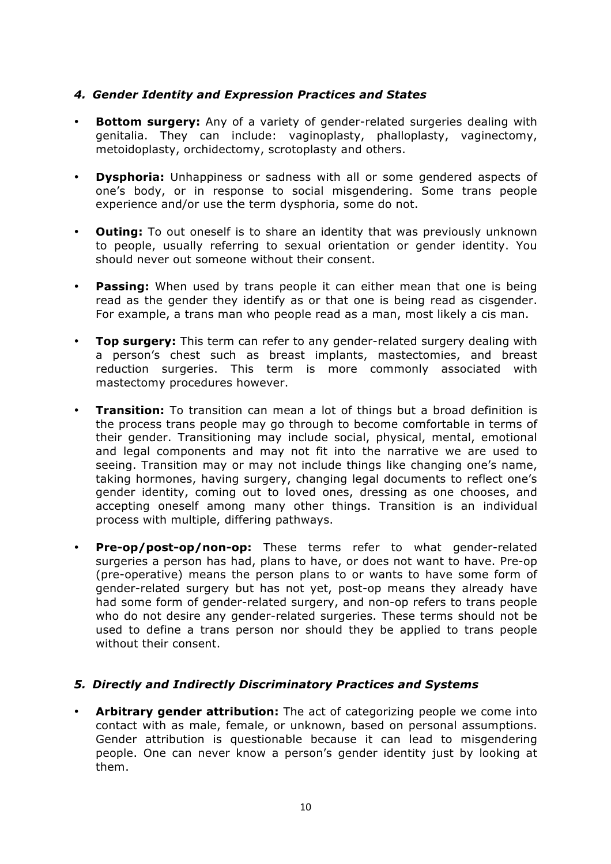#### *4. Gender Identity and Expression Practices and States*

- **Bottom surgery:** Any of a variety of gender-related surgeries dealing with genitalia. They can include: vaginoplasty, phalloplasty, vaginectomy, metoidoplasty, orchidectomy, scrotoplasty and others.
- **Dysphoria:** Unhappiness or sadness with all or some gendered aspects of one's body, or in response to social misgendering. Some trans people experience and/or use the term dysphoria, some do not.
- **Outing:** To out oneself is to share an identity that was previously unknown to people, usually referring to sexual orientation or gender identity. You should never out someone without their consent.
- **Passing:** When used by trans people it can either mean that one is being read as the gender they identify as or that one is being read as cisgender. For example, a trans man who people read as a man, most likely a cis man.
- **Top surgery:** This term can refer to any gender-related surgery dealing with a person's chest such as breast implants, mastectomies, and breast reduction surgeries. This term is more commonly associated with mastectomy procedures however.
- **Transition:** To transition can mean a lot of things but a broad definition is the process trans people may go through to become comfortable in terms of their gender. Transitioning may include social, physical, mental, emotional and legal components and may not fit into the narrative we are used to seeing. Transition may or may not include things like changing one's name, taking hormones, having surgery, changing legal documents to reflect one's gender identity, coming out to loved ones, dressing as one chooses, and accepting oneself among many other things. Transition is an individual process with multiple, differing pathways.
- **Pre-op/post-op/non-op:** These terms refer to what gender-related surgeries a person has had, plans to have, or does not want to have. Pre-op (pre-operative) means the person plans to or wants to have some form of gender-related surgery but has not yet, post-op means they already have had some form of gender-related surgery, and non-op refers to trans people who do not desire any gender-related surgeries. These terms should not be used to define a trans person nor should they be applied to trans people without their consent.

#### *5. Directly and Indirectly Discriminatory Practices and Systems*

• **Arbitrary gender attribution:** The act of categorizing people we come into contact with as male, female, or unknown, based on personal assumptions. Gender attribution is questionable because it can lead to misgendering people. One can never know a person's gender identity just by looking at them.